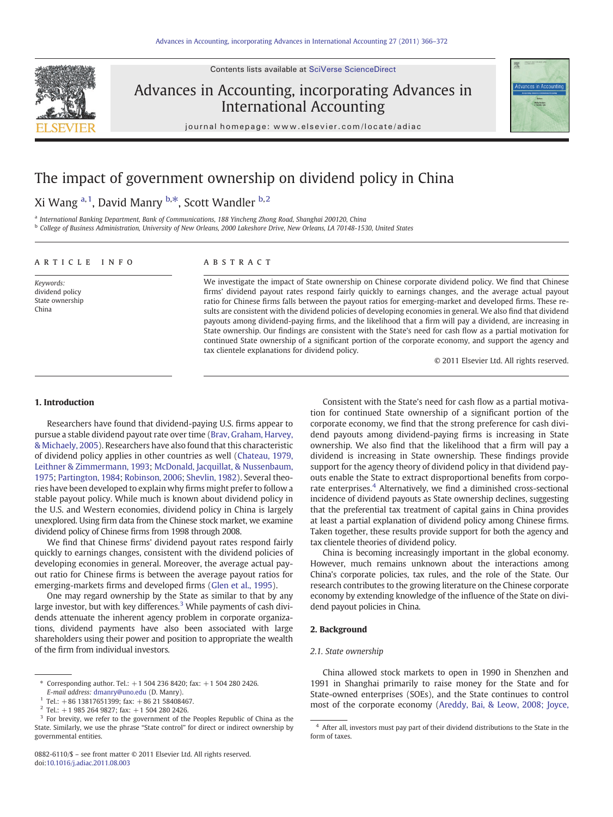Contents lists available at [SciVerse ScienceDirect](http://www.sciencedirect.com/science/journal/08826110)



# Advances in Accounting, incorporating Advances in International Accounting



journal homepage: www.elsevier.com/locate/adiac

# The impact of government ownership on dividend policy in China

## Xi Wang <sup>a, 1</sup>, David Manry <sup>b,\*</sup>, Scott Wandler <sup>b, 2</sup>

a International Banking Department, Bank of Communications, 188 Yincheng Zhong Road, Shanghai 200120, China

<sup>b</sup> College of Business Administration, University of New Orleans, 2000 Lakeshore Drive, New Orleans, LA 70148-1530, United States

### article info abstract

Keywords: dividend policy State ownership China

We investigate the impact of State ownership on Chinese corporate dividend policy. We find that Chinese firms' dividend payout rates respond fairly quickly to earnings changes, and the average actual payout ratio for Chinese firms falls between the payout ratios for emerging-market and developed firms. These results are consistent with the dividend policies of developing economies in general. We also find that dividend payouts among dividend-paying firms, and the likelihood that a firm will pay a dividend, are increasing in State ownership. Our findings are consistent with the State's need for cash flow as a partial motivation for continued State ownership of a significant portion of the corporate economy, and support the agency and tax clientele explanations for dividend policy.

© 2011 Elsevier Ltd. All rights reserved.

#### 1. Introduction

Researchers have found that dividend-paying U.S. firms appear to pursue a stable dividend payout rate over time ([Brav, Graham, Harvey,](#page--1-0) [& Michaely, 2005](#page--1-0)). Researchers have also found that this characteristic of dividend policy applies in other countries as well ([Chateau, 1979,](#page--1-0) [Leithner & Zimmermann, 1993](#page--1-0); [McDonald, Jacquillat, & Nussenbaum,](#page--1-0) [1975;](#page--1-0) [Partington, 1984;](#page--1-0) [Robinson, 2006;](#page--1-0) [Shevlin, 1982](#page--1-0)). Several theories have been developed to explain why firms might prefer to follow a stable payout policy. While much is known about dividend policy in the U.S. and Western economies, dividend policy in China is largely unexplored. Using firm data from the Chinese stock market, we examine dividend policy of Chinese firms from 1998 through 2008.

We find that Chinese firms' dividend payout rates respond fairly quickly to earnings changes, consistent with the dividend policies of developing economies in general. Moreover, the average actual payout ratio for Chinese firms is between the average payout ratios for emerging-markets firms and developed firms [\(Glen et al., 1995\)](#page--1-0).

One may regard ownership by the State as similar to that by any large investor, but with key differences. $3$  While payments of cash dividends attenuate the inherent agency problem in corporate organizations, dividend payments have also been associated with large shareholders using their power and position to appropriate the wealth of the firm from individual investors.

Consistent with the State's need for cash flow as a partial motivation for continued State ownership of a significant portion of the corporate economy, we find that the strong preference for cash dividend payouts among dividend-paying firms is increasing in State ownership. We also find that the likelihood that a firm will pay a dividend is increasing in State ownership. These findings provide support for the agency theory of dividend policy in that dividend payouts enable the State to extract disproportional benefits from corporate enterprises.<sup>4</sup> Alternatively, we find a diminished cross-sectional incidence of dividend payouts as State ownership declines, suggesting that the preferential tax treatment of capital gains in China provides at least a partial explanation of dividend policy among Chinese firms. Taken together, these results provide support for both the agency and tax clientele theories of dividend policy.

China is becoming increasingly important in the global economy. However, much remains unknown about the interactions among China's corporate policies, tax rules, and the role of the State. Our research contributes to the growing literature on the Chinese corporate economy by extending knowledge of the influence of the State on dividend payout policies in China.

#### 2. Background

#### 2.1. State ownership

China allowed stock markets to open in 1990 in Shenzhen and 1991 in Shanghai primarily to raise money for the State and for State-owned enterprises (SOEs), and the State continues to control most of the corporate economy ([Areddy, Bai, & Leow, 2008; Joyce,](#page--1-0)

<sup>⁎</sup> Corresponding author. Tel.: +1 504 236 8420; fax: +1 504 280 2426.

E-mail address: [dmanry@uno.edu](mailto:dmanry@uno.edu) (D. Manry).

 $1$  Tel.: +86 13817651399; fax: +86 21 58408467.

 $2$  Tel.: +1 985 264 9827; fax: +1 504 280 2426.

<sup>&</sup>lt;sup>3</sup> For brevity, we refer to the government of the Peoples Republic of China as the State. Similarly, we use the phrase "State control" for direct or indirect ownership by governmental entities.

<sup>4</sup> After all, investors must pay part of their dividend distributions to the State in the form of taxes.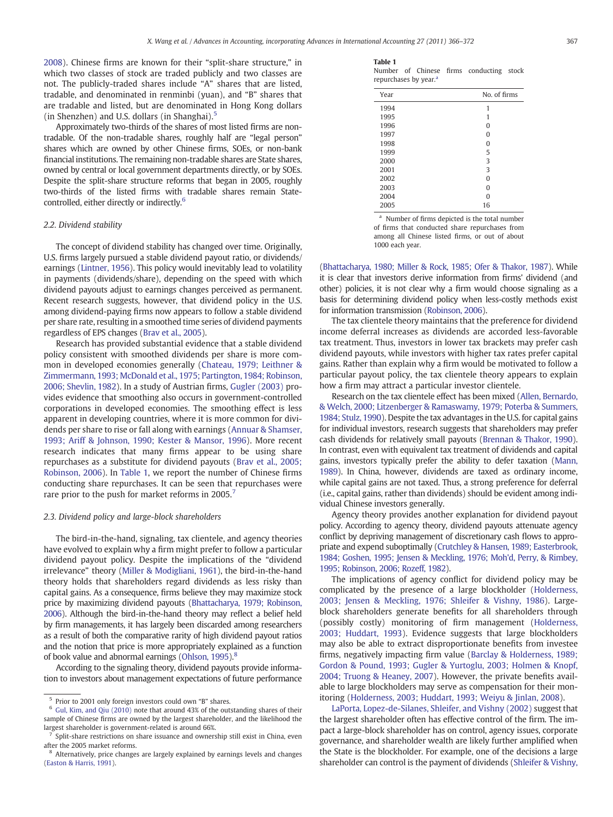[2008\)](#page--1-0). Chinese firms are known for their "split-share structure," in which two classes of stock are traded publicly and two classes are not. The publicly-traded shares include "A" shares that are listed, tradable, and denominated in renminbi (yuan), and "B" shares that are tradable and listed, but are denominated in Hong Kong dollars (in Shenzhen) and U.S. dollars (in Shanghai).<sup>5</sup>

Approximately two-thirds of the shares of most listed firms are nontradable. Of the non-tradable shares, roughly half are "legal person" shares which are owned by other Chinese firms, SOEs, or non-bank financial institutions. The remaining non-tradable shares are State shares, owned by central or local government departments directly, or by SOEs. Despite the split-share structure reforms that began in 2005, roughly two-thirds of the listed firms with tradable shares remain Statecontrolled, either directly or indirectly.<sup>6</sup>

#### 2.2. Dividend stability

The concept of dividend stability has changed over time. Originally, U.S. firms largely pursued a stable dividend payout ratio, or dividends/ earnings ([Lintner, 1956\)](#page--1-0). This policy would inevitably lead to volatility in payments (dividends/share), depending on the speed with which dividend payouts adjust to earnings changes perceived as permanent. Recent research suggests, however, that dividend policy in the U.S. among dividend-paying firms now appears to follow a stable dividend per share rate, resulting in a smoothed time series of dividend payments regardless of EPS changes [\(Brav et al., 2005\)](#page--1-0).

Research has provided substantial evidence that a stable dividend policy consistent with smoothed dividends per share is more common in developed economies generally [\(Chateau, 1979; Leithner &](#page--1-0) [Zimmermann, 1993; McDonald et al., 1975; Partington, 1984; Robinson,](#page--1-0) [2006; Shevlin, 1982\)](#page--1-0). In a study of Austrian firms, [Gugler \(2003\)](#page--1-0) provides evidence that smoothing also occurs in government-controlled corporations in developed economies. The smoothing effect is less apparent in developing countries, where it is more common for dividends per share to rise or fall along with earnings ([Annuar & Shamser,](#page--1-0) [1993; Ariff & Johnson, 1990; Kester & Mansor, 1996](#page--1-0)). More recent research indicates that many firms appear to be using share repurchases as a substitute for dividend payouts ([Brav et al., 2005;](#page--1-0) [Robinson, 2006](#page--1-0)). In Table 1, we report the number of Chinese firms conducting share repurchases. It can be seen that repurchases were rare prior to the push for market reforms in 2005.

#### 2.3. Dividend policy and large-block shareholders

The bird-in-the-hand, signaling, tax clientele, and agency theories have evolved to explain why a firm might prefer to follow a particular dividend payout policy. Despite the implications of the "dividend irrelevance" theory ([Miller & Modigliani, 1961](#page--1-0)), the bird-in-the-hand theory holds that shareholders regard dividends as less risky than capital gains. As a consequence, firms believe they may maximize stock price by maximizing dividend payouts [\(Bhattacharya, 1979; Robinson,](#page--1-0) [2006\)](#page--1-0). Although the bird-in-the-hand theory may reflect a belief held by firm managements, it has largely been discarded among researchers as a result of both the comparative rarity of high dividend payout ratios and the notion that price is more appropriately explained as a function of book value and abnormal earnings ([Ohlson, 1995](#page--1-0)).<sup>8</sup>

According to the signaling theory, dividend payouts provide information to investors about management expectations of future performance

Number of Chinese firms conducting stock repurchases by year.<sup>a</sup>

| Year | No. of firms |
|------|--------------|
| 1994 | 1            |
| 1995 | 1            |
| 1996 | $\Omega$     |
| 1997 | $\Omega$     |
| 1998 | $\Omega$     |
| 1999 | 5            |
| 2000 | 3            |
| 2001 | 3            |
| 2002 | $\Omega$     |
| 2003 | $\Omega$     |
| 2004 | $\Omega$     |
| 2005 | 16           |

<sup>a</sup> Number of firms depicted is the total number of firms that conducted share repurchases from among all Chinese listed firms, or out of about 1000 each year.

[\(Bhattacharya, 1980; Miller & Rock, 1985; Ofer & Thakor, 1987\)](#page--1-0). While it is clear that investors derive information from firms' dividend (and other) policies, it is not clear why a firm would choose signaling as a basis for determining dividend policy when less-costly methods exist for information transmission [\(Robinson, 2006\)](#page--1-0).

The tax clientele theory maintains that the preference for dividend income deferral increases as dividends are accorded less-favorable tax treatment. Thus, investors in lower tax brackets may prefer cash dividend payouts, while investors with higher tax rates prefer capital gains. Rather than explain why a firm would be motivated to follow a particular payout policy, the tax clientele theory appears to explain how a firm may attract a particular investor clientele.

Research on the tax clientele effect has been mixed ([Allen, Bernardo,](#page--1-0) [& Welch, 2000; Litzenberger & Ramaswamy, 1979; Poterba & Summers,](#page--1-0) [1984; Stulz, 1990](#page--1-0)). Despite the tax advantages in the U.S. for capital gains for individual investors, research suggests that shareholders may prefer cash dividends for relatively small payouts [\(Brennan & Thakor, 1990](#page--1-0)). In contrast, even with equivalent tax treatment of dividends and capital gains, investors typically prefer the ability to defer taxation [\(Mann,](#page--1-0) [1989](#page--1-0)). In China, however, dividends are taxed as ordinary income, while capital gains are not taxed. Thus, a strong preference for deferral (i.e., capital gains, rather than dividends) should be evident among individual Chinese investors generally.

Agency theory provides another explanation for dividend payout policy. According to agency theory, dividend payouts attenuate agency conflict by depriving management of discretionary cash flows to appropriate and expend suboptimally [\(Crutchley & Hansen, 1989; Easterbrook,](#page--1-0) [1984; Goshen, 1995; Jensen & Meckling, 1976; Moh'd, Perry, & Rimbey,](#page--1-0) [1995; Robinson, 2006; Rozeff, 1982](#page--1-0)).

The implications of agency conflict for dividend policy may be complicated by the presence of a large blockholder [\(Holderness,](#page--1-0) [2003; Jensen & Meckling, 1976; Shleifer & Vishny, 1986](#page--1-0)). Largeblock shareholders generate benefits for all shareholders through (possibly costly) monitoring of firm management [\(Holderness,](#page--1-0) [2003; Huddart, 1993\)](#page--1-0). Evidence suggests that large blockholders may also be able to extract disproportionate benefits from investee firms, negatively impacting firm value ([Barclay & Holderness, 1989;](#page--1-0) [Gordon & Pound, 1993; Gugler & Yurtoglu, 2003; Holmen & Knopf,](#page--1-0) [2004; Truong & Heaney, 2007](#page--1-0)). However, the private benefits available to large blockholders may serve as compensation for their monitoring ([Holderness, 2003; Huddart, 1993; Weiyu & Jinlan, 2008\)](#page--1-0).

[LaPorta, Lopez-de-Silanes, Shleifer, and Vishny \(2002\)](#page--1-0) suggest that the largest shareholder often has effective control of the firm. The impact a large-block shareholder has on control, agency issues, corporate governance, and shareholder wealth are likely further amplified when the State is the blockholder. For example, one of the decisions a large shareholder can control is the payment of dividends [\(Shleifer & Vishny,](#page--1-0)

<sup>5</sup> Prior to 2001 only foreign investors could own "B" shares.

<sup>6</sup> [Gul, Kim, and Qiu \(2010\)](#page--1-0) note that around 43% of the outstanding shares of their sample of Chinese firms are owned by the largest shareholder, and the likelihood the largest shareholder is government-related is around 66%.

Split-share restrictions on share issuance and ownership still exist in China, even after the 2005 market reforms.

<sup>&</sup>lt;sup>8</sup> Alternatively, price changes are largely explained by earnings levels and changes [\(Easton & Harris, 1991\)](#page--1-0).

Table 1